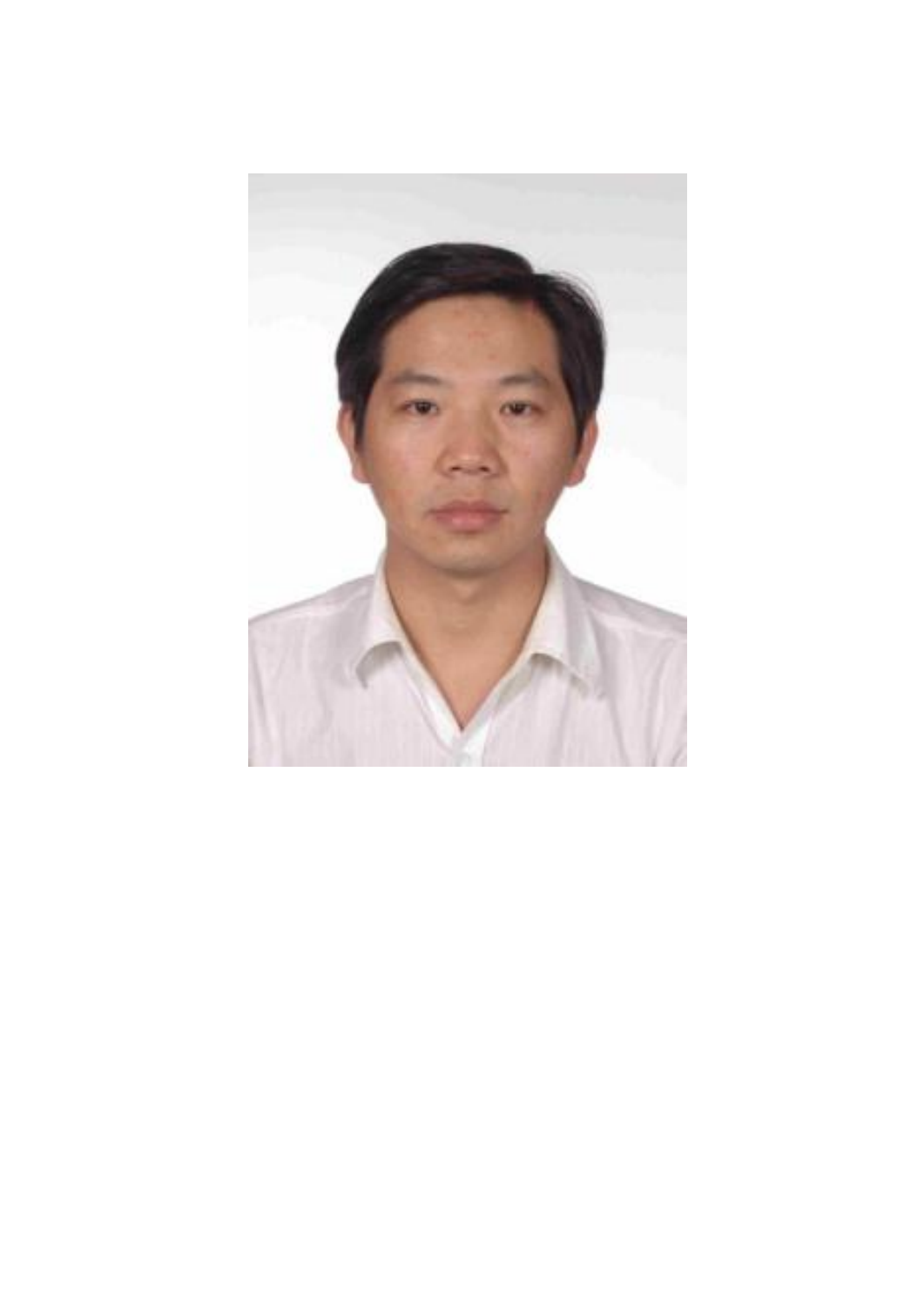